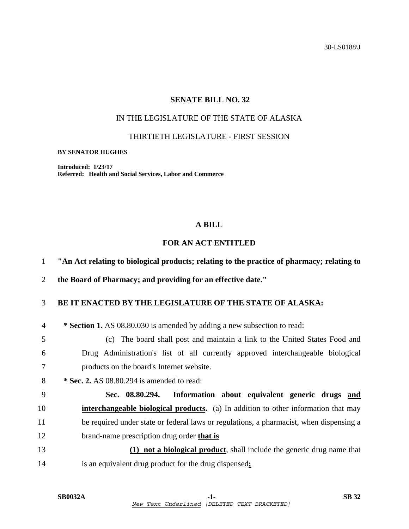30-LS0188\J

### **SENATE BILL NO. 32**

## IN THE LEGISLATURE OF THE STATE OF ALASKA

### THIRTIETH LEGISLATURE - FIRST SESSION

#### **BY SENATOR HUGHES**

**Introduced: 1/23/17 Referred: Health and Social Services, Labor and Commerce** 

## **A BILL**

# **FOR AN ACT ENTITLED**

1 **"An Act relating to biological products; relating to the practice of pharmacy; relating to** 

2 **the Board of Pharmacy; and providing for an effective date."** 

### 3 **BE IT ENACTED BY THE LEGISLATURE OF THE STATE OF ALASKA:**

4 **\* Section 1.** AS 08.80.030 is amended by adding a new subsection to read:

5 (c) The board shall post and maintain a link to the United States Food and 6 Drug Administration's list of all currently approved interchangeable biological 7 products on the board's Internet website.

8 **\* Sec. 2.** AS 08.80.294 is amended to read:

9 **Sec. 08.80.294. Information about equivalent generic drugs and**  10 **interchangeable biological products.** (a) In addition to other information that may 11 be required under state or federal laws or regulations, a pharmacist, when dispensing a 12 brand-name prescription drug order **that is**

13 **(1) not a biological product**, shall include the generic drug name that 14 is an equivalent drug product for the drug dispensed**;**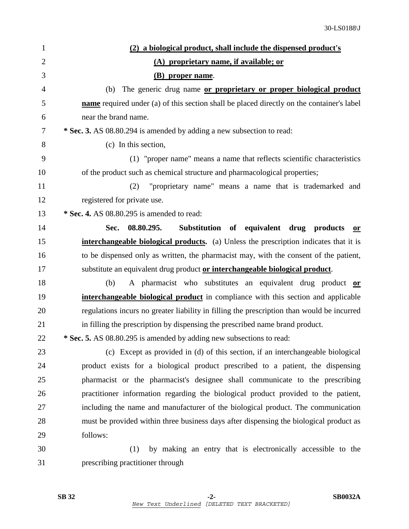| $\mathbf{1}$   | (2) a biological product, shall include the dispensed product's                                  |
|----------------|--------------------------------------------------------------------------------------------------|
| $\overline{2}$ | (A) proprietary name, if available; or                                                           |
| 3              | <b>(B)</b> proper name.                                                                          |
| 4              | The generic drug name or proprietary or proper biological product<br>(b)                         |
| 5              | <b>name</b> required under (a) of this section shall be placed directly on the container's label |
| 6              | near the brand name.                                                                             |
| 7              | * Sec. 3. AS 08.80.294 is amended by adding a new subsection to read:                            |
| 8              | (c) In this section,                                                                             |
| 9              | (1) "proper name" means a name that reflects scientific characteristics                          |
| 10             | of the product such as chemical structure and pharmacological properties;                        |
| 11             | "proprietary name" means a name that is trademarked and<br>(2)                                   |
| 12             | registered for private use.                                                                      |
| 13             | * Sec. 4. AS 08.80.295 is amended to read:                                                       |
| 14             | Substitution of equivalent drug products<br>08.80.295.<br>Sec.<br>$or$                           |
| 15             | <b>interchangeable biological products.</b> (a) Unless the prescription indicates that it is     |
| 16             | to be dispensed only as written, the pharmacist may, with the consent of the patient,            |
| 17             | substitute an equivalent drug product or interchangeable biological product.                     |
| 18             | A pharmacist who substitutes an equivalent drug product or<br>(b)                                |
| 19             | interchangeable biological product in compliance with this section and applicable                |
| 20             | regulations incurs no greater liability in filling the prescription than would be incurred       |
| 21             | in filling the prescription by dispensing the prescribed name brand product.                     |
| 22             | * Sec. 5. AS 08.80.295 is amended by adding new subsections to read:                             |
| 23             | (c) Except as provided in (d) of this section, if an interchangeable biological                  |
| 24             | product exists for a biological product prescribed to a patient, the dispensing                  |
| 25             | pharmacist or the pharmacist's designee shall communicate to the prescribing                     |
| 26             | practitioner information regarding the biological product provided to the patient,               |
| 27             | including the name and manufacturer of the biological product. The communication                 |
| 28             | must be provided within three business days after dispensing the biological product as           |
| 29             | follows:                                                                                         |
| 30             | by making an entry that is electronically accessible to the<br>(1)                               |
| 31             | prescribing practitioner through                                                                 |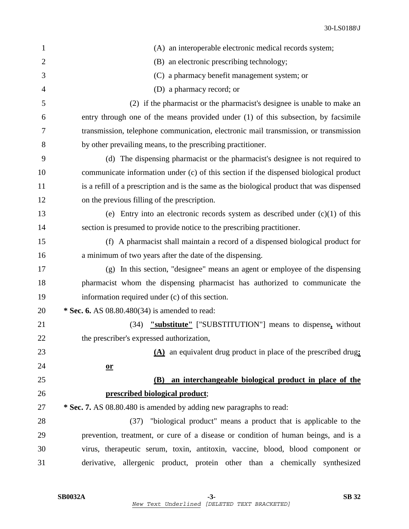| $\mathbf{1}$   | (A) an interoperable electronic medical records system;                                    |
|----------------|--------------------------------------------------------------------------------------------|
| $\overline{2}$ | (B) an electronic prescribing technology;                                                  |
| 3              | (C) a pharmacy benefit management system; or                                               |
| $\overline{4}$ | (D) a pharmacy record; or                                                                  |
| 5              | (2) if the pharmacist or the pharmacist's designee is unable to make an                    |
| 6              | entry through one of the means provided under (1) of this subsection, by facsimile         |
| 7              | transmission, telephone communication, electronic mail transmission, or transmission       |
| 8              | by other prevailing means, to the prescribing practitioner.                                |
| 9              | (d) The dispensing pharmacist or the pharmacist's designee is not required to              |
| 10             | communicate information under (c) of this section if the dispensed biological product      |
| 11             | is a refill of a prescription and is the same as the biological product that was dispensed |
| 12             | on the previous filling of the prescription.                                               |
| 13             | (e) Entry into an electronic records system as described under $(c)(1)$ of this            |
| 14             | section is presumed to provide notice to the prescribing practitioner.                     |
| 15             | (f) A pharmacist shall maintain a record of a dispensed biological product for             |
| 16             | a minimum of two years after the date of the dispensing.                                   |
| 17             | (g) In this section, "designee" means an agent or employee of the dispensing               |
| 18             | pharmacist whom the dispensing pharmacist has authorized to communicate the                |
| 19             | information required under (c) of this section.                                            |
| 20             | * Sec. 6. AS 08.80.480(34) is amended to read:                                             |
| 21             | (34) "substitute" ["SUBSTITUTION"] means to dispense, without                              |
| 22             | the prescriber's expressed authorization,                                                  |
| 23             | $(\underline{A})$ an equivalent drug product in place of the prescribed drug:              |
| 24             | $or$                                                                                       |
| 25             | an interchangeable biological product in place of the<br><b>(B)</b>                        |
| 26             | prescribed biological product;                                                             |
| 27             | * Sec. 7. AS 08.80.480 is amended by adding new paragraphs to read:                        |
| 28             | "biological product" means a product that is applicable to the<br>(37)                     |
| 29             | prevention, treatment, or cure of a disease or condition of human beings, and is a         |
| 30             | virus, therapeutic serum, toxin, antitoxin, vaccine, blood, blood component or             |
| 31             | derivative, allergenic product, protein other than a chemically synthesized                |